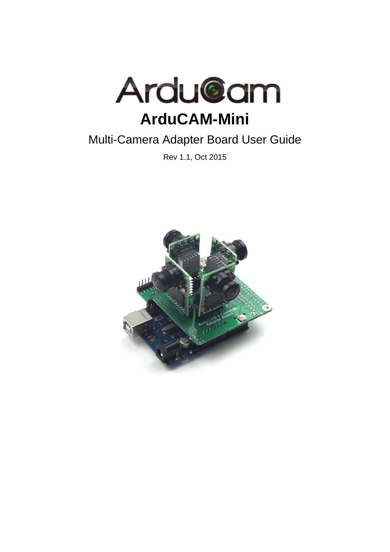

# Multi-Camera Adapter Board User Guide

Rev 1.1, Oct 2015

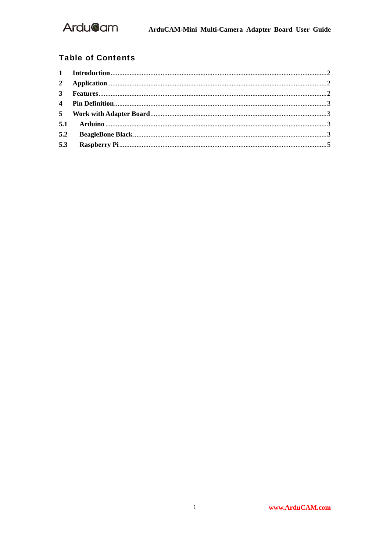

### **Table of Contents**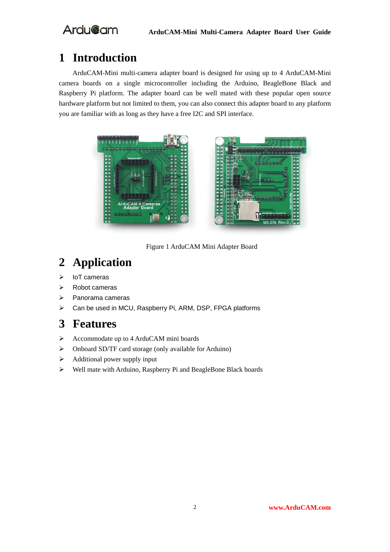# **1 Introduction**

ArduCAM-Mini multi-camera adapter board is designed for using up to 4 ArduCAM-Mini camera boards on a single microcontroller including the Arduino, BeagleBone Black and Raspberry Pi platform. The adapter board can be well mated with these popular open source hardware platform but not limited to them, you can also connect this adapter board to any platform you are familiar with as long as they have a free I2C and SPI interface.





Figure 1 ArduCAM Mini Adapter Board

# **2 Application**

- $\triangleright$  IoT cameras
- Robot cameras
- $\triangleright$  Panorama cameras
- Can be used in MCU, Raspberry Pi, ARM, DSP, FPGA platforms

## **3 Features**

- Accommodate up to 4 ArduCAM mini boards
- Onboard SD/TF card storage (only available for Arduino)
- $\triangleright$  Additional power supply input
- Well mate with Arduino, Raspberry Pi and BeagleBone Black boards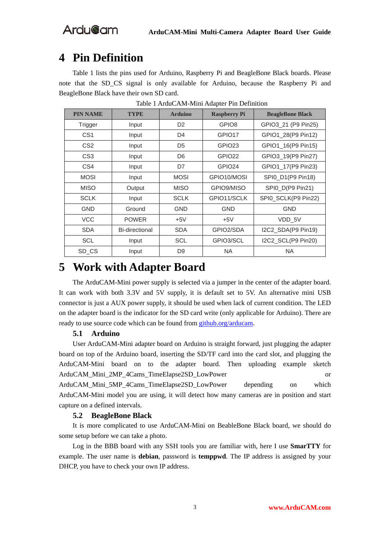## **4 Pin Definition**

Table 1 lists the pins used for Arduino, Raspberry Pi and BeagleBone Black boards. Please note that the SD\_CS signal is only available for Arduino, because the Raspberry Pi and BeagleBone Black have their own SD card.

| <b>PIN NAME</b> | <b>TYPE</b>    | <b>Arduino</b> | <b>Raspberry Pi</b> | <b>BeagleBone Black</b> |
|-----------------|----------------|----------------|---------------------|-------------------------|
| Trigger         | Input          | D <sub>2</sub> | GPIO <sub>8</sub>   | GPIO3_21 (P9 Pin25)     |
| CS <sub>1</sub> | Input          | D4             | GPIO <sub>17</sub>  | GPIO1_28(P9 Pin12)      |
| CS <sub>2</sub> | Input          | D <sub>5</sub> | GPIO <sub>23</sub>  | GPIO1_16(P9 Pin15)      |
| CS <sub>3</sub> | Input          | D <sub>6</sub> | GPIO <sub>22</sub>  | GPIO3 19(P9 Pin27)      |
| CS4             | Input          | D7             | GPIO <sub>24</sub>  | GPIO1_17(P9 Pin23)      |
| <b>MOSI</b>     | Input          | <b>MOSI</b>    | GPIO10/MOSI         | SPI0_D1(P9 Pin18)       |
| <b>MISO</b>     | Output         | <b>MISO</b>    | GPIO9/MISO          | SPI0_D(P9 Pin21)        |
| <b>SCLK</b>     | Input          | <b>SCLK</b>    | GPIO11/SCLK         | SPI0_SCLK(P9 Pin22)     |
| <b>GND</b>      | Ground         | <b>GND</b>     | <b>GND</b>          | <b>GND</b>              |
| <b>VCC</b>      | <b>POWER</b>   | $+5V$          | $+5V$               | VDD 5V                  |
| <b>SDA</b>      | Bi-directional | <b>SDA</b>     | GPIO2/SDA           | I2C2_SDA(P9 Pin19)      |
| <b>SCL</b>      | Input          | <b>SCL</b>     | GPIO3/SCL           | I2C2_SCL(P9 Pin20)      |
| SD CS           | Input          | D <sub>9</sub> | <b>NA</b>           | <b>NA</b>               |

Table 1 ArduCAM-Mini Adapter Pin Definition

## **5 Work with Adapter Board**

The ArduCAM-Mini power supply is selected via a jumper in the center of the adapter board. It can work with both 3.3V and 5V supply, it is default set to 5V. An alternative mini USB connector is just a AUX power supply, it should be used when lack of current condition. The LED on the adapter board is the indicator for the SD card write (only applicable for Arduino). There are ready to use source code which can be found from github.org/arducam.

### **5.1 Arduino**

User ArduCAM-Mini adapter board on Arduino is straight forward, just plugging the adapter board on top of the Arduino board, inserting the SD/TF card into the card slot, and plugging the ArduCAM-Mini board on to the adapter board. Then uploading example sketch ArduCAM\_Mini\_2MP\_4Cams\_TimeElapse2SD\_LowPower or

ArduCAM\_Mini\_5MP\_4Cams\_TimeElapse2SD\_LowPower depending on which ArduCAM-Mini model you are using, it will detect how many cameras are in position and start capture on a defined intervals.

### **5.2 BeagleBone Black**

It is more complicated to use ArduCAM-Mini on BeableBone Black board, we should do some setup before we can take a photo.

Log in the BBB board with any SSH tools you are familiar with, here I use **SmarTTY** for example. The user name is **debian**, password is **temppwd**. The IP address is assigned by your DHCP, you have to check your own IP address.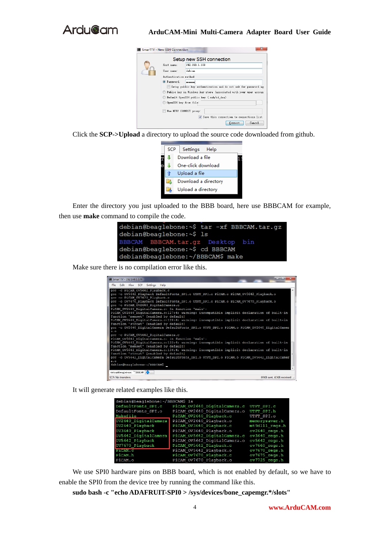

### **ArduCAM-Mini Multi-Camera Adapter Board User Guide**



Click the **SCP->Upload** a directory to upload the source code downloaded from github.



Enter the directory you just uploaded to the BBB board, here use BBBCAM for example, then use **make** command to compile the code.

| debian@beaglebone:~\$ tar -xf BBBCAM.tar.gz |
|---------------------------------------------|
| debian@beaglebone:~\$ ls                    |
| BBBCAM BBBCAM.tar.qz Desktop bin            |
| debian@beaglebone:~\$ cd BBBCAM             |
| debian@beaglebone:~/BBBCAM\$ make           |

Make sure there is no compilation error like this.

| SmarTTY - 192.168.1.109                                                                                                                                                                                                                                                                                                                                                                                                                                                                                                                                                                                                                                                                                                     | <b>Comment</b>              |
|-----------------------------------------------------------------------------------------------------------------------------------------------------------------------------------------------------------------------------------------------------------------------------------------------------------------------------------------------------------------------------------------------------------------------------------------------------------------------------------------------------------------------------------------------------------------------------------------------------------------------------------------------------------------------------------------------------------------------------|-----------------------------|
| File Edit View SCP Settings Help                                                                                                                                                                                                                                                                                                                                                                                                                                                                                                                                                                                                                                                                                            |                             |
| gcc -c PiCAM OV5642 Playback.c<br>gcc -o OV5642 Playback DefaultFonts SPI.o UTFT SPI.o PiCAM.o PiCAM OV5642 Playback.o<br>gcc -c PiCAM OV7670 Playback.c<br>gcc -o 0V7670 Playback DefaultFonts SPI.o UTFT SPI.o PiCAM.o PiCAM 0V7670 Playback.o<br>gcc -c PiCAM OV2640 DigitalCamera.c<br>PiCAM OV2640 DigitalCamera.c: In function 'main':<br>PiCAM 0V2640 DigitalCamera.c:127:4: warning: incompatible implicit declaration of built-in<br>function 'memset' [enabled by default]<br>PiCAM OV2640 DigitalCamera.c:128:4: warning: incompatible implicit declaration of built-in<br>function 'strcat' [enabled by default]<br>gcc -o OV2640 DigitalCamera DefaultFonts SPI.o UTFT SPI.o PiCAM.o PiCAM OV2640 DigitalCamer |                             |
| .1.0<br>gcc -c PiCAM_0V5642_DigitalCamera.c<br>PiCAM OV5642 DigitalCamera.c: In function 'main':<br>PiCAM 0V5642 DigitalCamera.c:133:4: warning: incompatible implicit declaration of built-in<br>function 'memset' [enabled by default]                                                                                                                                                                                                                                                                                                                                                                                                                                                                                    |                             |
| PiCAM OV5642 DigitalCamera.c:134:4: warning: incompatible implicit declaration of built-in<br>function 'streat' [enabled by default]<br>gcc -o 0V5642 DigitalCamera DefaultFonts_SPI.o UTFT_SPI.o PiCAM.o PiCAM_0V5642_DigitalCamer<br>a.o<br>debian@beaglebone:~/BBBCAM\$                                                                                                                                                                                                                                                                                                                                                                                                                                                  |                             |
| debian@beaglebone: "/HHECAM Ca                                                                                                                                                                                                                                                                                                                                                                                                                                                                                                                                                                                                                                                                                              |                             |
| SCP: No transfers                                                                                                                                                                                                                                                                                                                                                                                                                                                                                                                                                                                                                                                                                                           | 69KB sent, 41KB received .: |

It will generate related examples like this.

| PiCAM 0V2640 DigitalCamera.c | UTFT SPI.C                      |
|------------------------------|---------------------------------|
| PiCAM OV2640 DigitalCamera.o | UTFT SPI.h                      |
| PiCAM OV2640 Playback.c      | UTFT SPI.0                      |
| PiCAM OV2640 Playback.o      | memorysaver.h                   |
| PiCAM OV3640 Playback.c      | mt9d111 regs.h                  |
| PiCAM OV3640 Playback.o      | $ov2640$ regs.h                 |
| PiCAM OV5642 DigitalCamera.c | ov3640 regs.h                   |
| PiCAM 0V5642 DigitalCamera.o | ov5642 regs.h                   |
| PiCAM OV5642 Playback.c      | ov7660 regs.h                   |
| PiCAM OV5642 Playback.o      | $o$ v $7670$ regs.h             |
| PiCAM OV7670 Playback.c      | $ov7675$ regs.h                 |
| PiCAM OV7670 Playback.o      | ov7725 regs.h                   |
|                              | debian@beaqlebone:~/BBBCAM\$ ls |

We use SPI0 hardware pins on BBB board, which is not enabled by default, so we have to enable the SPI0 from the device tree by running the command like this.

**sudo bash -c "echo ADAFRUIT-SPI0 > /sys/devices/bone\_capemgr.\*/slots"**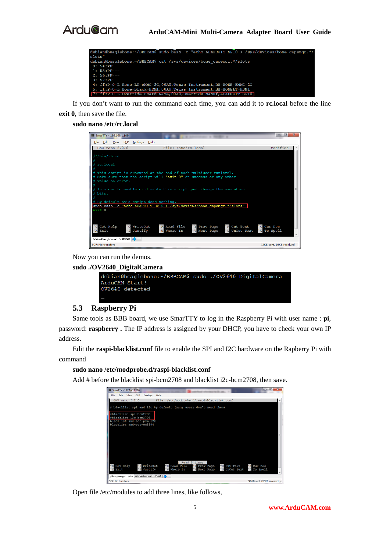



If you don't want to run the command each time, you can add it to **rc.local** before the line **exit 0**, then save the file.

#### **sudo nano /etc/rc.local**

| SmarTTY - 192.168.1.109                                                                                                             | $\overline{\mathbf{x}}$<br>回<br>œ |
|-------------------------------------------------------------------------------------------------------------------------------------|-----------------------------------|
| File Edit View SCP<br>Settings<br>Help                                                                                              |                                   |
| GNU nano 2.2.6<br>File: /etc/rc.local                                                                                               | Modified                          |
| $\pm$ !/bin/sh -e                                                                                                                   |                                   |
|                                                                                                                                     |                                   |
| rc.local                                                                                                                            |                                   |
|                                                                                                                                     |                                   |
| This script is executed at the end of each multiuser runlevel.<br># Make sure that the script will "exit 0" on success or any other |                                   |
| value on error.                                                                                                                     |                                   |
|                                                                                                                                     |                                   |
| In order to enable or disable this script just change the execution                                                                 |                                   |
| bits.                                                                                                                               |                                   |
| # By default this script does nothing.                                                                                              |                                   |
| sudo bash -c "echo ADAFRUIT-SPIO > /sys/devices/bone capemgr.*/slots"                                                               |                                   |
| exit 0                                                                                                                              |                                   |
|                                                                                                                                     |                                   |
|                                                                                                                                     |                                   |
| <b>AR Read File</b><br><b>K</b> Cut Text<br>Get Help<br>^O WriteOut<br>"Y Prev Page                                                 | ^C Cur Pos                        |
| <b><i>NJ Justify</i></b><br>Exit<br>Next Page<br><b>"U UnCut Text</b><br><b>NW</b> Where Is<br>$\mathbf{v}$                         | <b>AT To Spell</b>                |
| debian@beaglebone: "/BBBCAM C                                                                                                       |                                   |
| <b>SCP: No transfers</b>                                                                                                            | 42KB sent, 16KB received .:       |

Now you can run the demos.

**sudo ./OV2640\_DigitalCamera** 

| lebian@beaqlebone:~/BBBCAM\$ sudo ./OV2640 DigitalCamera |  |  |
|----------------------------------------------------------|--|--|
| \rduCAM Start!                                           |  |  |
| X2640 detected                                           |  |  |
|                                                          |  |  |
|                                                          |  |  |

### **5.3 Raspberry Pi**

Same tools as BBB board, we use SmarTTY to log in the Raspberry Pi with user name : **pi**, password: **raspberry .** The IP address is assigned by your DHCP, you have to check your own IP address.

Edit the **raspi-blacklist.conf** file to enable the SPI and I2C hardware on the Rapberry Pi with command

### **sudo nano /etc/modprobe.d/raspi-blacklist.conf**

Add # before the blacklist spi-bcm2708 and blacklist i2c-bcm2708, then save.

| SmarTTY - 192.168.1.106                                                               | $\overline{\phantom{a}}$<br>$\mathbf{z}$ |
|---------------------------------------------------------------------------------------|------------------------------------------|
| Edit View SCP<br>Settings<br>Help<br>File:                                            |                                          |
| GNU nano 2.2.6<br>File: /etc/modprobe.d/raspi-blacklist.conf                          |                                          |
| blacklist spi and i2c by default (many users don't need them)                         |                                          |
|                                                                                       |                                          |
| #blacklist spi-bcm2708                                                                |                                          |
| #blacklist i2c-bcm2708<br>blacklist snd=soc=pcm512x                                   |                                          |
| blacklist snd-soc-wm8804                                                              |                                          |
|                                                                                       |                                          |
|                                                                                       |                                          |
|                                                                                       |                                          |
|                                                                                       |                                          |
|                                                                                       |                                          |
|                                                                                       |                                          |
|                                                                                       |                                          |
| [ Read 6 lines ]                                                                      |                                          |
| Get Help<br>"O WriteOut<br>"R Read File "Y Prev Page<br>"R Cut Text                   | "C Cur Pos                               |
| Exit<br>Justify<br>'W Where Is<br>"U UnCut Text "T To Spell<br>A J<br>Next Page<br>۸v |                                          |
| pi@razpherrypi: /dev pi@razpherrypi: "/FiCAM d                                        |                                          |
| SCP: No transfers                                                                     | 246KB sent, 205KB received               |

Open file /etc/modules to add three lines, like follows,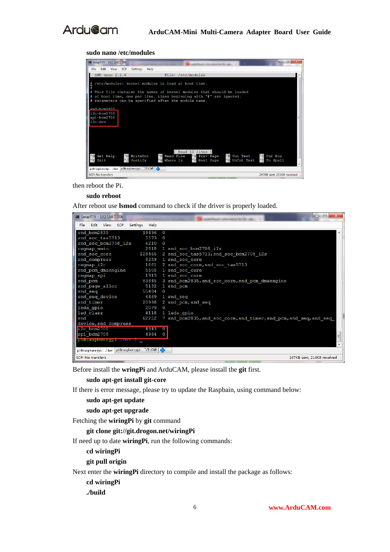

#### **sudo nano /etc/modules**



then reboot the Pi.

#### **sudo reboot**

After reboot use **lsmod** command to check if the driver is properly loaded.



Before install the **wringPi** and ArduCAM, please install the **git** first.

### **sudo apt-get install git-core**

If there is error message, please try to update the Raspbain, using command below:

#### **sudo apt-get update**

**sudo apt-get upgrade** 

Fetching the **wiringPi** by **git** command

**git clone git://git.drogon.net/wiringPi** 

If need up to date **wiringPi**, run the following commands:

**cd wiringPi** 

**git pull origin** 

Next enter the **wiringPi** directory to compile and install the package as follows:

**cd wiringPi** 

**./build**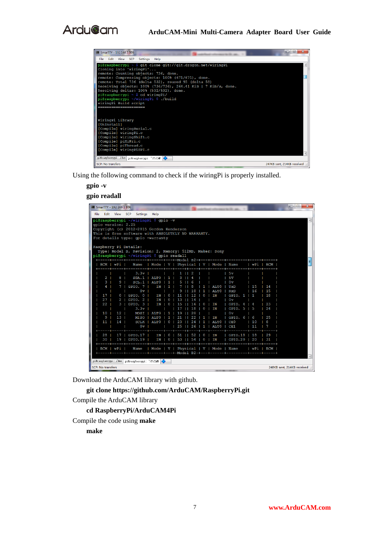| $\overline{\mathbf{x}}$<br>$\Box$<br>$\equiv$<br>SmarTTY - 192.168.1.106                                  |  |
|-----------------------------------------------------------------------------------------------------------|--|
| Edit View SCP Settings Help<br>File                                                                       |  |
| pi@raspberrypi ~ \$ qit clone qit://qit.droqon.net/wiringPi                                               |  |
| Cloning into 'wiringPi'                                                                                   |  |
| remote: Counting objects: 736, done.                                                                      |  |
| remote: Compressing objects: 100% (671/671), done.<br>remote: Total 736 (delta 532), reused 95 (delta 58) |  |
| Receiving objects: 100% (736/736), 264.41 KiB   7 KiB/s, done.                                            |  |
| Resolving deltas: 100% (532/532), done.                                                                   |  |
| pi@raspberrypi ~ \$ cd wiringPi/                                                                          |  |
| pi@raspberrypi ~/wiringPi \$ ./build                                                                      |  |
| wiringPi Build script                                                                                     |  |
|                                                                                                           |  |
|                                                                                                           |  |
|                                                                                                           |  |
| WiringPi Library                                                                                          |  |
| [UnInstall]                                                                                               |  |
| [Compile] wiringSerial.c                                                                                  |  |
| [Compile] wiringPi.c                                                                                      |  |
| [Compile] wiringShift.c                                                                                   |  |
| [Compile] piHiPri.c<br>[Compile] piThread.c                                                               |  |
| [Compile] wiringPiSPI.c                                                                                   |  |
|                                                                                                           |  |
| pi@raspberrypi: /dev pi@raspberrypi: "/PiCAM C                                                            |  |
| <b>SCP: No transfers</b><br>247KB sent. 214KB received .:                                                 |  |

Using the following command to check if the wiringPi is properly installed.

**gpio -v** 

**gpio readall** 

| $\mathbf{x}$<br>$\Box$ $\Box$<br>SmarTTY - 192.168.1.106                                                                                            |  |
|-----------------------------------------------------------------------------------------------------------------------------------------------------|--|
| File Edit View SCP Settings Help                                                                                                                    |  |
| pi@raspberrypi ~/wiringPi \$ qpio -v                                                                                                                |  |
| qpio version: 2.25                                                                                                                                  |  |
| Copyright (c) 2012-2015 Gordon Henderson                                                                                                            |  |
| This is free software with ABSOLUTELY NO WARRANTY.                                                                                                  |  |
| For details type: qpio -warranty                                                                                                                    |  |
| Raspberry Pi Details:                                                                                                                               |  |
| Type: Model B, Revision: 2, Memory: 512MB, Maker: Sony                                                                                              |  |
| pi@raspberrypi ~/wiringPi \$ gpio readall                                                                                                           |  |
| ---+-----+---------+------+----+-Model B2-+---+------ <u>+--------+------+</u>                                                                      |  |
| Name   Mode   V   Physical   V   Mode   Name   WPi   BCM<br>BCM   wPi                                                                               |  |
|                                                                                                                                                     |  |
| 3.3v<br>1<br>2<br>5v                                                                                                                                |  |
| SDA.1<br>3<br>2<br>8<br>ALT <sub>0</sub><br>-1<br>4<br>5v<br>3<br>9<br>SCL.1<br>0v<br><b>ALTO</b><br>5<br>-1<br>6                                   |  |
| 15<br>4<br>GPIO. 7  <br>ΙN<br>ALT0<br>TXD<br>14<br>7<br>1<br>8<br>1                                                                                 |  |
| 0v<br>15<br>16<br><b>ALTO</b><br>$ $ RxD<br>10<br>1                                                                                                 |  |
| GPIO. 0  <br>18<br>17<br>$\mathbf{0}$<br><b>IN</b><br><b>IN</b><br>$ $ GPIO. 1   1<br>$\theta$<br>$\Omega$                                          |  |
| 27<br>$\mathbf{2}$<br>GPIO. 2  <br>10v<br>ΙN<br>$\Omega$<br>14                                                                                      |  |
| 22<br>GPIO. $3$  <br>ΙN<br>$\vert$ GPIO. 4<br>23<br>З<br>IN<br>۰<br>$\Omega$<br>$\overline{4}$<br>16                                                |  |
| $3.3v$  <br>ΙN<br>$\sqrt{3}$ GPIO. 5<br>24<br>18<br>$\overline{0}$<br><b>IS</b>                                                                     |  |
| 12 <sub>1</sub><br>10<br>MOSI  <br>ALT0<br>0v<br>2.0<br>-1<br>19                                                                                    |  |
| 9<br>13 <sub>1</sub><br>$\blacksquare$<br>GPIO. 6<br>25<br>MISO  <br><b>ALTO</b><br>21<br>22<br>6<br>-1<br>1                                        |  |
| 11<br>14 <sub>1</sub><br>10<br>8<br>SCLK  <br>ALTO 1<br>$\bullet$<br>23<br>  ALTO<br>CE0<br>24<br>1                                                 |  |
| $0v$  <br>25<br>ICE1<br>11<br>26 <sub>1</sub><br>$1$   $ALTO$<br>7                                                                                  |  |
| --+---+------+-------<br>28<br>17 <sub>1</sub><br>GPIO.17   IN   0   51                                                                             |  |
| 52 <sub>1</sub><br>$0$   IN<br>$IGPIO.18$   18<br>29<br>GPIO.19   IN   0   53     54   0   IN<br>30<br>19 <sub>1</sub><br>$ $ GPIO.20 $ $ 20<br>131 |  |
| --+----++---                                                                                                                                        |  |
| Name   Mode   V   Physical   V   Mode   Name   WPi   BCM<br>BCM I wPi I                                                                             |  |
| --+-----+---------+------+----+-Model B2-+---+-------+---------+------+--                                                                           |  |
|                                                                                                                                                     |  |
| pi@raspberrypi: /dev pi@raspberrypi: "/PiCAM CD                                                                                                     |  |
| SCP: No transfers<br>248KB sent, 214KB received .:                                                                                                  |  |

Download the ArduCAM library with github.

**git clone https://github.com/ArduCAM/RaspberryPi.git** 

Compile the ArduCAM library

**cd RaspberryPi/ArduCAM4Pi** 

Compile the code using **make**

**make**